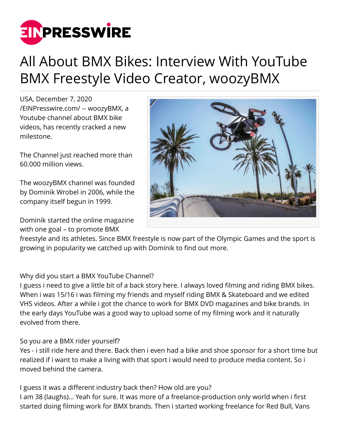

# All About BMX Bikes: Interview With YouTube BMX Freestyle Video Creator, woozyBMX

USA, December 7, 2020 [/EINPresswire.com/](http://www.einpresswire.com) -- woozyBMX, a Youtube channel about BMX bike videos, has recently cracked a new milestone.

The Channel just reached more than 60.000 million views.

The woozyBMX channel was founded by Dominik Wrobel in 2006, while the company itself begun in 1999.

Dominik started the online magazine with one goal – to promote BMX



freestyle and its athletes. Since BMX freestyle is now part of the Olympic Games and the sport is growing in popularity we catched up with Dominik to find out more.

Why did you start a BMX YouTube Channel?

I guess i need to give a little bit of a back story here. I always loved filming and riding BMX bikes. When i was 15/16 i was filming my friends and myself riding BMX & Skateboard and we edited VHS videos. After a while i got the chance to work for BMX DVD magazines and bike brands. In the early days YouTube was a good way to upload some of my filming work and it naturally evolved from there.

## So you are a BMX rider yourself?

Yes - i still ride here and there. Back then i even had a bike and shoe sponsor for a short time but realized if i want to make a living with that sport i would need to produce media content. So i moved behind the camera.

I guess it was a different industry back then? How old are you? I am 38 (laughs)… Yeah for sure. It was more of a freelance-production only world when i first started doing filming work for BMX brands. Then i started working freelance for Red Bull, Vans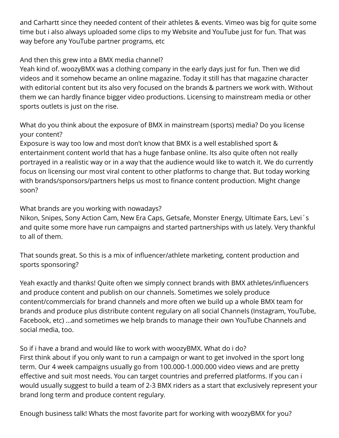and Carhartt since they needed content of their athletes & events. Vimeo was big for quite some time but i also always uploaded some clips to my Website and YouTube just for fun. That was way before any YouTube partner programs, etc

## And then this grew into a BMX media channel?

Yeah kind of. woozyBMX was a clothing company in the early days just for fun. Then we did videos and it somehow became an online magazine. Today it still has that magazine character with editorial content but its also very focused on the brands & partners we work with. Without them we can hardly finance bigger video productions. Licensing to mainstream media or other sports outlets is just on the rise.

What do you think about the exposure of BMX in mainstream (sports) media? Do you license your content?

Exposure is way too low and most don't know that BMX is a well established sport & entertainment content world that has a huge fanbase online. Its also quite often not really portrayed in a realistic way or in a way that the audience would like to watch it. We do currently focus on licensing our most viral content to other platforms to change that. But today working with brands/sponsors/partners helps us most to finance content production. Might change soon?

### What brands are you working with nowadays?

Nikon, Snipes, Sony Action Cam, New Era Caps, Getsafe, Monster Energy, Ultimate Ears, Levi´s and quite some more have run campaigns and started partnerships with us lately. Very thankful to all of them.

That sounds great. So this is a mix of influencer/athlete marketing, content production and sports sponsoring?

Yeah exactly and thanks! Quite often we simply connect brands with BMX athletes/influencers and produce content and publish on our channels. Sometimes we solely produce content/commercials for brand channels and more often we build up a whole BMX team for brands and produce plus distribute content regulary on all social Channels (Instagram, YouTube, Facebook, etc) …and sometimes we help brands to manage their own YouTube Channels and social media, too.

So if i have a brand and would like to work with woozyBMX. What do i do? First think about if you only want to run a campaign or want to get involved in the sport long term. Our 4 week campaigns usually go from 100.000-1.000.000 video views and are pretty effective and suit most needs. You can target countries and preferred platforms. If you can i would usually suggest to build a team of 2-3 BMX riders as a start that exclusively represent your brand long term and produce content regulary.

Enough business talk! Whats the most favorite part for working with woozyBMX for you?